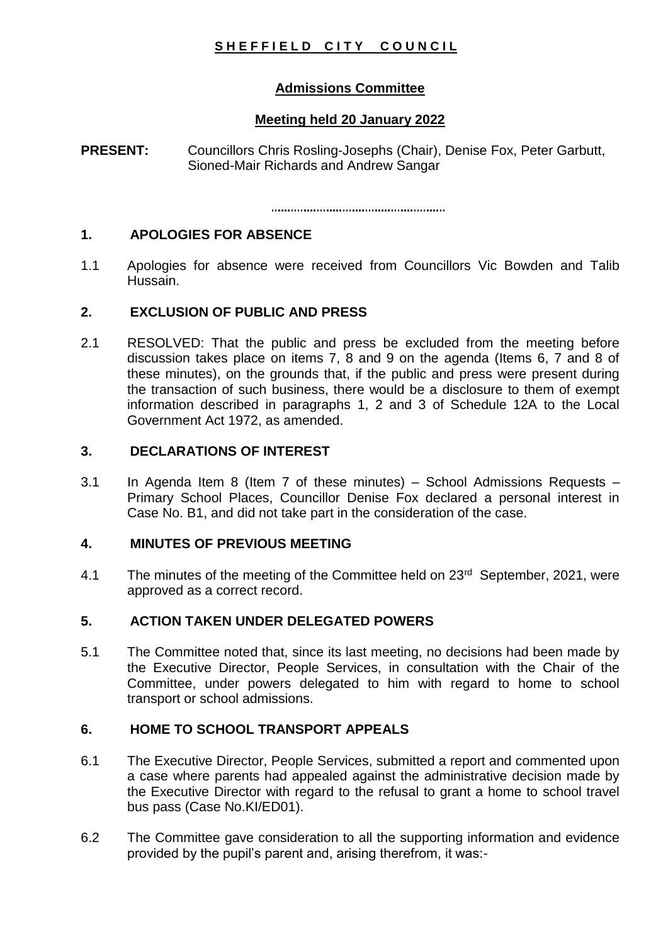# SHEFFIELD CITY COUNCIL

# **Admissions Committee**

# **Meeting held 20 January 2022**

**PRESENT:** Councillors Chris Rosling-Josephs (Chair), Denise Fox, Peter Garbutt, Sioned-Mair Richards and Andrew Sangar

### **1. APOLOGIES FOR ABSENCE**

1.1 Apologies for absence were received from Councillors Vic Bowden and Talib Hussain.

### **2. EXCLUSION OF PUBLIC AND PRESS**

2.1 RESOLVED: That the public and press be excluded from the meeting before discussion takes place on items 7, 8 and 9 on the agenda (Items 6, 7 and 8 of these minutes), on the grounds that, if the public and press were present during the transaction of such business, there would be a disclosure to them of exempt information described in paragraphs 1, 2 and 3 of Schedule 12A to the Local Government Act 1972, as amended.

### **3. DECLARATIONS OF INTEREST**

3.1 In Agenda Item 8 (Item 7 of these minutes) – School Admissions Requests – Primary School Places, Councillor Denise Fox declared a personal interest in Case No. B1, and did not take part in the consideration of the case.

## **4. MINUTES OF PREVIOUS MEETING**

4.1 The minutes of the meeting of the Committee held on 23<sup>rd</sup> September, 2021, were approved as a correct record.

## **5. ACTION TAKEN UNDER DELEGATED POWERS**

5.1 The Committee noted that, since its last meeting, no decisions had been made by the Executive Director, People Services, in consultation with the Chair of the Committee, under powers delegated to him with regard to home to school transport or school admissions.

# **6. HOME TO SCHOOL TRANSPORT APPEALS**

- 6.1 The Executive Director, People Services, submitted a report and commented upon a case where parents had appealed against the administrative decision made by the Executive Director with regard to the refusal to grant a home to school travel bus pass (Case No.KI/ED01).
- 6.2 The Committee gave consideration to all the supporting information and evidence provided by the pupil's parent and, arising therefrom, it was:-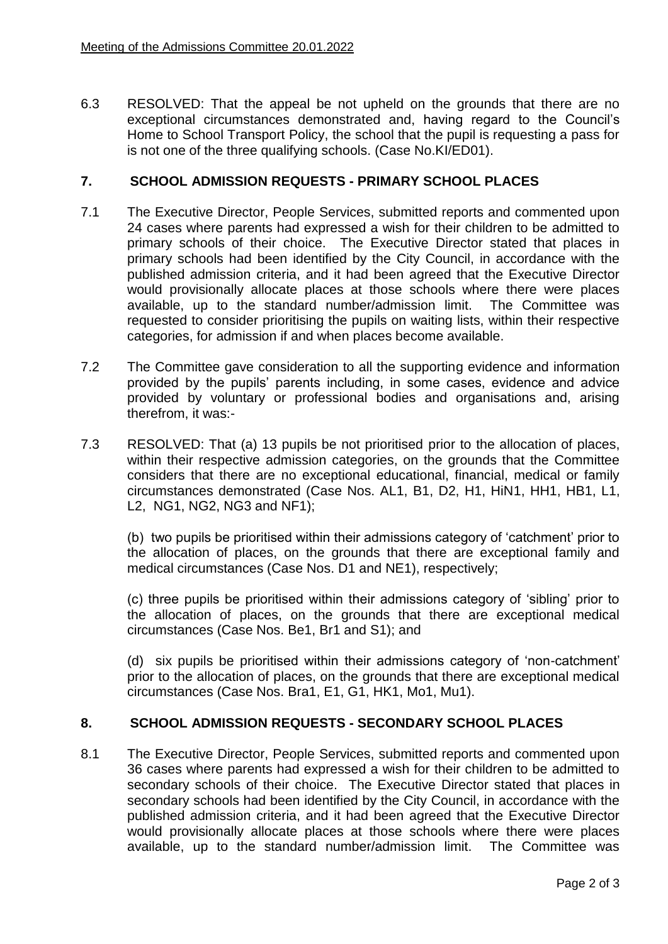6.3 RESOLVED: That the appeal be not upheld on the grounds that there are no exceptional circumstances demonstrated and, having regard to the Council's Home to School Transport Policy, the school that the pupil is requesting a pass for is not one of the three qualifying schools. (Case No.KI/ED01).

### **7. SCHOOL ADMISSION REQUESTS - PRIMARY SCHOOL PLACES**

- 7.1 The Executive Director, People Services, submitted reports and commented upon 24 cases where parents had expressed a wish for their children to be admitted to primary schools of their choice. The Executive Director stated that places in primary schools had been identified by the City Council, in accordance with the published admission criteria, and it had been agreed that the Executive Director would provisionally allocate places at those schools where there were places available, up to the standard number/admission limit. The Committee was requested to consider prioritising the pupils on waiting lists, within their respective categories, for admission if and when places become available.
- 7.2 The Committee gave consideration to all the supporting evidence and information provided by the pupils' parents including, in some cases, evidence and advice provided by voluntary or professional bodies and organisations and, arising therefrom, it was:-
- 7.3 RESOLVED: That (a) 13 pupils be not prioritised prior to the allocation of places, within their respective admission categories, on the grounds that the Committee considers that there are no exceptional educational, financial, medical or family circumstances demonstrated (Case Nos. AL1, B1, D2, H1, HiN1, HH1, HB1, L1, L2, NG1, NG2, NG3 and NF1);

(b) two pupils be prioritised within their admissions category of 'catchment' prior to the allocation of places, on the grounds that there are exceptional family and medical circumstances (Case Nos. D1 and NE1), respectively;

(c) three pupils be prioritised within their admissions category of 'sibling' prior to the allocation of places, on the grounds that there are exceptional medical circumstances (Case Nos. Be1, Br1 and S1); and

(d) six pupils be prioritised within their admissions category of 'non-catchment' prior to the allocation of places, on the grounds that there are exceptional medical circumstances (Case Nos. Bra1, E1, G1, HK1, Mo1, Mu1).

## **8. SCHOOL ADMISSION REQUESTS - SECONDARY SCHOOL PLACES**

8.1 The Executive Director, People Services, submitted reports and commented upon 36 cases where parents had expressed a wish for their children to be admitted to secondary schools of their choice. The Executive Director stated that places in secondary schools had been identified by the City Council, in accordance with the published admission criteria, and it had been agreed that the Executive Director would provisionally allocate places at those schools where there were places available, up to the standard number/admission limit. The Committee was